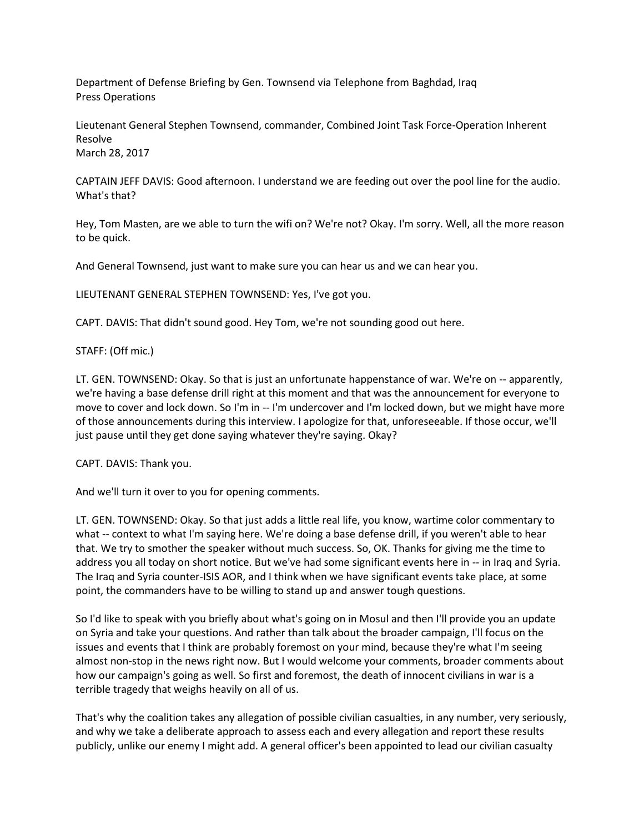Department of Defense Briefing by Gen. Townsend via Telephone from Baghdad, Iraq Press Operations

Lieutenant General Stephen Townsend, commander, Combined Joint Task Force-Operation Inherent Resolve March 28, 2017

CAPTAIN JEFF DAVIS: Good afternoon. I understand we are feeding out over the pool line for the audio. What's that?

Hey, Tom Masten, are we able to turn the wifi on? We're not? Okay. I'm sorry. Well, all the more reason to be quick.

And General Townsend, just want to make sure you can hear us and we can hear you.

LIEUTENANT GENERAL STEPHEN TOWNSEND: Yes, I've got you.

CAPT. DAVIS: That didn't sound good. Hey Tom, we're not sounding good out here.

STAFF: (Off mic.)

LT. GEN. TOWNSEND: Okay. So that is just an unfortunate happenstance of war. We're on -- apparently, we're having a base defense drill right at this moment and that was the announcement for everyone to move to cover and lock down. So I'm in -- I'm undercover and I'm locked down, but we might have more of those announcements during this interview. I apologize for that, unforeseeable. If those occur, we'll just pause until they get done saying whatever they're saying. Okay?

CAPT. DAVIS: Thank you.

And we'll turn it over to you for opening comments.

LT. GEN. TOWNSEND: Okay. So that just adds a little real life, you know, wartime color commentary to what -- context to what I'm saying here. We're doing a base defense drill, if you weren't able to hear that. We try to smother the speaker without much success. So, OK. Thanks for giving me the time to address you all today on short notice. But we've had some significant events here in -- in Iraq and Syria. The Iraq and Syria counter-ISIS AOR, and I think when we have significant events take place, at some point, the commanders have to be willing to stand up and answer tough questions.

So I'd like to speak with you briefly about what's going on in Mosul and then I'll provide you an update on Syria and take your questions. And rather than talk about the broader campaign, I'll focus on the issues and events that I think are probably foremost on your mind, because they're what I'm seeing almost non-stop in the news right now. But I would welcome your comments, broader comments about how our campaign's going as well. So first and foremost, the death of innocent civilians in war is a terrible tragedy that weighs heavily on all of us.

That's why the coalition takes any allegation of possible civilian casualties, in any number, very seriously, and why we take a deliberate approach to assess each and every allegation and report these results publicly, unlike our enemy I might add. A general officer's been appointed to lead our civilian casualty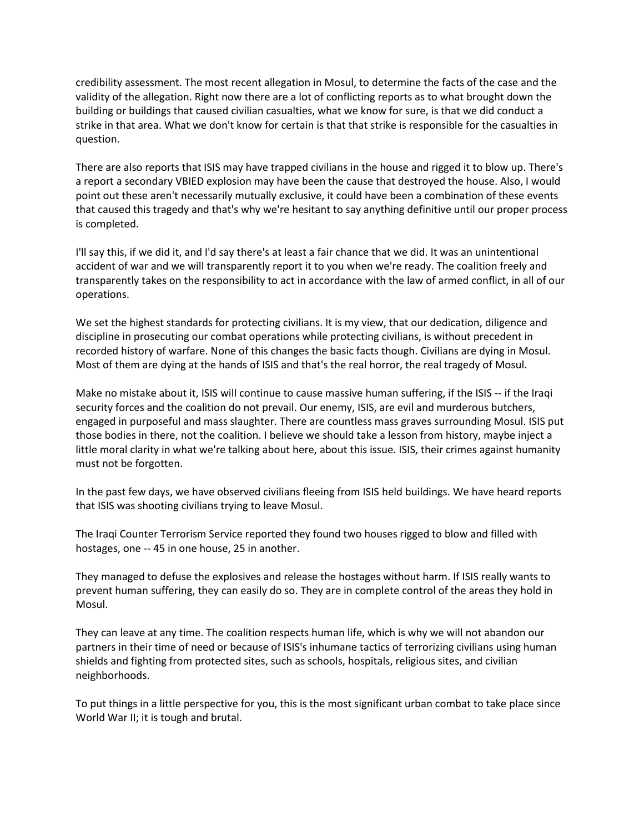credibility assessment. The most recent allegation in Mosul, to determine the facts of the case and the validity of the allegation. Right now there are a lot of conflicting reports as to what brought down the building or buildings that caused civilian casualties, what we know for sure, is that we did conduct a strike in that area. What we don't know for certain is that that strike is responsible for the casualties in question.

There are also reports that ISIS may have trapped civilians in the house and rigged it to blow up. There's a report a secondary VBIED explosion may have been the cause that destroyed the house. Also, I would point out these aren't necessarily mutually exclusive, it could have been a combination of these events that caused this tragedy and that's why we're hesitant to say anything definitive until our proper process is completed.

I'll say this, if we did it, and I'd say there's at least a fair chance that we did. It was an unintentional accident of war and we will transparently report it to you when we're ready. The coalition freely and transparently takes on the responsibility to act in accordance with the law of armed conflict, in all of our operations.

We set the highest standards for protecting civilians. It is my view, that our dedication, diligence and discipline in prosecuting our combat operations while protecting civilians, is without precedent in recorded history of warfare. None of this changes the basic facts though. Civilians are dying in Mosul. Most of them are dying at the hands of ISIS and that's the real horror, the real tragedy of Mosul.

Make no mistake about it, ISIS will continue to cause massive human suffering, if the ISIS -- if the Iraqi security forces and the coalition do not prevail. Our enemy, ISIS, are evil and murderous butchers, engaged in purposeful and mass slaughter. There are countless mass graves surrounding Mosul. ISIS put those bodies in there, not the coalition. I believe we should take a lesson from history, maybe inject a little moral clarity in what we're talking about here, about this issue. ISIS, their crimes against humanity must not be forgotten.

In the past few days, we have observed civilians fleeing from ISIS held buildings. We have heard reports that ISIS was shooting civilians trying to leave Mosul.

The Iraqi Counter Terrorism Service reported they found two houses rigged to blow and filled with hostages, one -- 45 in one house, 25 in another.

They managed to defuse the explosives and release the hostages without harm. If ISIS really wants to prevent human suffering, they can easily do so. They are in complete control of the areas they hold in Mosul.

They can leave at any time. The coalition respects human life, which is why we will not abandon our partners in their time of need or because of ISIS's inhumane tactics of terrorizing civilians using human shields and fighting from protected sites, such as schools, hospitals, religious sites, and civilian neighborhoods.

To put things in a little perspective for you, this is the most significant urban combat to take place since World War II; it is tough and brutal.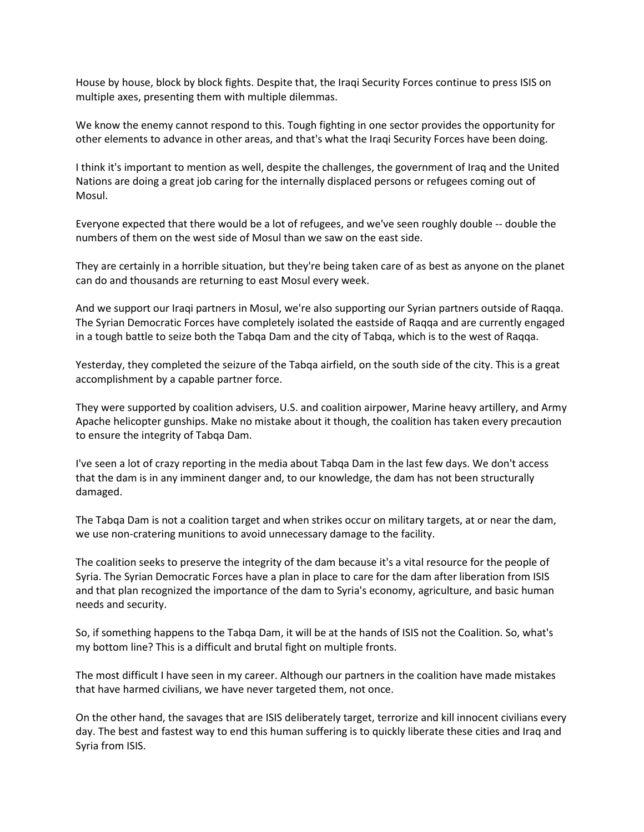House by house, block by block fights. Despite that, the Iraqi Security Forces continue to press ISIS on multiple axes, presenting them with multiple dilemmas.

We know the enemy cannot respond to this. Tough fighting in one sector provides the opportunity for other elements to advance in other areas, and that's what the Iraqi Security Forces have been doing.

I think it's important to mention as well, despite the challenges, the government of Iraq and the United Nations are doing a great job caring for the internally displaced persons or refugees coming out of Mosul.

Everyone expected that there would be a lot of refugees, and we've seen roughly double -- double the numbers of them on the west side of Mosul than we saw on the east side.

They are certainly in a horrible situation, but they're being taken care of as best as anyone on the planet can do and thousands are returning to east Mosul every week.

And we support our Iraqi partners in Mosul, we're also supporting our Syrian partners outside of Raqqa. The Syrian Democratic Forces have completely isolated the eastside of Raqqa and are currently engaged in a tough battle to seize both the Tabqa Dam and the city of Tabqa, which is to the west of Raqqa.

Yesterday, they completed the seizure of the Tabqa airfield, on the south side of the city. This is a great accomplishment by a capable partner force.

They were supported by coalition advisers, U.S. and coalition airpower, Marine heavy artillery, and Army Apache helicopter gunships. Make no mistake about it though, the coalition has taken every precaution to ensure the integrity of Tabqa Dam.

I've seen a lot of crazy reporting in the media about Tabqa Dam in the last few days. We don't access that the dam is in any imminent danger and, to our knowledge, the dam has not been structurally damaged.

The Tabqa Dam is not a coalition target and when strikes occur on military targets, at or near the dam, we use non-cratering munitions to avoid unnecessary damage to the facility.

The coalition seeks to preserve the integrity of the dam because it's a vital resource for the people of Syria. The Syrian Democratic Forces have a plan in place to care for the dam after liberation from ISIS and that plan recognized the importance of the dam to Syria's economy, agriculture, and basic human needs and security.

So, if something happens to the Tabqa Dam, it will be at the hands of ISIS not the Coalition. So, what's my bottom line? This is a difficult and brutal fight on multiple fronts.

The most difficult I have seen in my career. Although our partners in the coalition have made mistakes that have harmed civilians, we have never targeted them, not once.

On the other hand, the savages that are ISIS deliberately target, terrorize and kill innocent civilians every day. The best and fastest way to end this human suffering is to quickly liberate these cities and Iraq and Syria from ISIS.